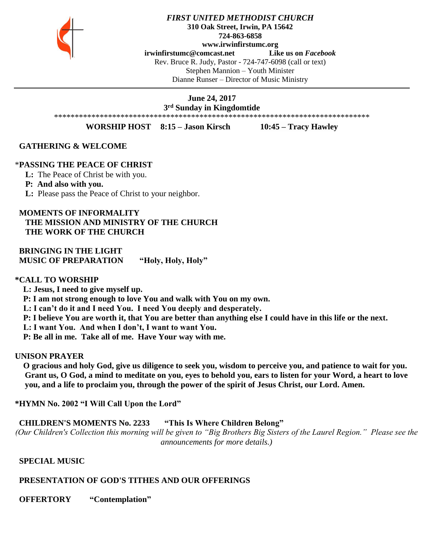

#### *FIRST UNITED METHODIST CHURCH* **310 Oak Street, Irwin, PA 15642 724-863-6858 www.irwinfirstumc.org [irwinfirstumc@comcast.net](mailto:irwinfirstumc@comcast.net) Like us on** *Facebook* Rev. Bruce R. Judy, Pastor - 724-747-6098 (call or text) Stephen Mannion – Youth Minister Dianne Runser – Director of Music Ministry

**June 24, 2017 3 rd Sunday in Kingdomtide**

\*\*\*\*\*\*\*\*\*\*\*\*\*\*\*\*\*\*\*\*\*\*\*\*\*\*\*\*\*\*\*\*\*\*\*\*\*\*\*\*\*\*\*\*\*\*\*\*\*\*\*\*\*\*\*\*\*\*\*\*\*\*\*\*\*\*\*\*\*\*\*\*\*\*\*\*

**WORSHIP HOST 8:15 – Jason Kirsch 10:45 – Tracy Hawley**

 **GATHERING & WELCOME**

#### \***PASSING THE PEACE OF CHRIST**

**L:** The Peace of Christ be with you.

#### **P: And also with you.**

**L:** Please pass the Peace of Christ to your neighbor.

#### **MOMENTS OF INFORMALITY**

 **THE MISSION AND MINISTRY OF THE CHURCH THE WORK OF THE CHURCH**

 **BRINGING IN THE LIGHT MUSIC OF PREPARATION "Holy, Holy, Holy"**

#### **\*CALL TO WORSHIP**

 **L: Jesus, I need to give myself up.**

 **P: I am not strong enough to love You and walk with You on my own.**

 **L: I can't do it and I need You. I need You deeply and desperately.** 

 **P: I believe You are worth it, that You are better than anything else I could have in this life or the next.**

 **L: I want You. And when I don't, I want to want You.**

 **P: Be all in me. Take all of me. Have Your way with me.**

### **UNISON PRAYER**

 **O gracious and holy God, give us diligence to seek you, wisdom to perceive you, and patience to wait for you. Grant us, O God, a mind to meditate on you, eyes to behold you, ears to listen for your Word, a heart to love you, and a life to proclaim you, through the power of the spirit of Jesus Christ, our Lord. Amen.**

**\*HYMN No. 2002 "I Will Call Upon the Lord"**

 **CHILDREN'S MOMENTS No. 2233 "This Is Where Children Belong"**

*(Our Children's Collection this morning will be given to "Big Brothers Big Sisters of the Laurel Region." Please see the announcements for more details.)*

### **SPECIAL MUSIC**

### **PRESENTATION OF GOD'S TITHES AND OUR OFFERINGS**

 **OFFERTORY "Contemplation"**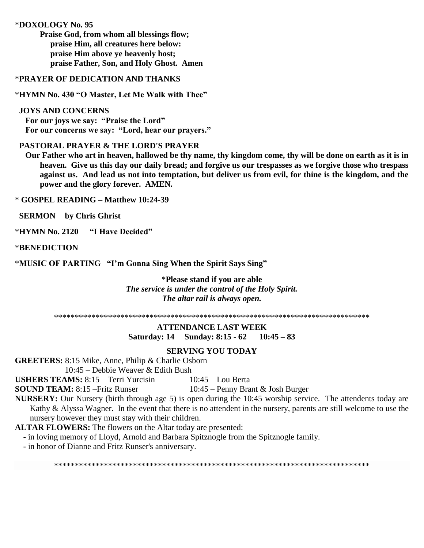### \***DOXOLOGY No. 95**

**Praise God, from whom all blessings flow; praise Him, all creatures here below: praise Him above ye heavenly host; praise Father, Son, and Holy Ghost. Amen**

### \***PRAYER OF DEDICATION AND THANKS**

\***HYMN No. 430 "O Master, Let Me Walk with Thee"**

#### **JOYS AND CONCERNS**

 **For our joys we say: "Praise the Lord" For our concerns we say: "Lord, hear our prayers."**

# **PASTORAL PRAYER & THE LORD'S PRAYER**

 **Our Father who art in heaven, hallowed be thy name, thy kingdom come, thy will be done on earth as it is in heaven. Give us this day our daily bread; and forgive us our trespasses as we forgive those who trespass against us. And lead us not into temptation, but deliver us from evil, for thine is the kingdom, and the power and the glory forever. AMEN.**

\* **GOSPEL READING – Matthew 10:24-39**

 **SERMON by Chris Ghrist**

\***HYMN No. 2120 "I Have Decided"**

\***BENEDICTION**

\***MUSIC OF PARTING "I'm Gonna Sing When the Spirit Says Sing"**

\***Please stand if you are able** *The service is under the control of the Holy Spirit. The altar rail is always open.*

\*\*\*\*\*\*\*\*\*\*\*\*\*\*\*\*\*\*\*\*\*\*\*\*\*\*\*\*\*\*\*\*\*\*\*\*\*\*\*\*\*\*\*\*\*\*\*\*\*\*\*\*\*\*\*\*\*\*\*\*\*\*\*\*\*\*\*\*\*\*\*\*\*\*\*\*

## **ATTENDANCE LAST WEEK Saturday: 14 Sunday: 8:15 - 62 10:45 – 83**

### **SERVING YOU TODAY**

**GREETERS:** 8:15 Mike, Anne, Philip & Charlie Osborn

10:45 – Debbie Weaver & Edith Bush

**USHERS TEAMS:** 8:15 – Terri Yurcisin 10:45 – Lou Berta

**SOUND TEAM:** 8:15 –Fritz Runser 10:45 – Penny Brant & Josh Burger

**NURSERY:** Our Nursery (birth through age 5) is open during the 10:45 worship service. The attendents today are Kathy & Alyssa Wagner. In the event that there is no attendent in the nursery, parents are still welcome to use the nursery however they must stay with their children.

**ALTAR FLOWERS:** The flowers on the Altar today are presented:

- in loving memory of Lloyd, Arnold and Barbara Spitznogle from the Spitznogle family.

- in honor of Dianne and Fritz Runser's anniversary.

\*\*\*\*\*\*\*\*\*\*\*\*\*\*\*\*\*\*\*\*\*\*\*\*\*\*\*\*\*\*\*\*\*\*\*\*\*\*\*\*\*\*\*\*\*\*\*\*\*\*\*\*\*\*\*\*\*\*\*\*\*\*\*\*\*\*\*\*\*\*\*\*\*\*\*\*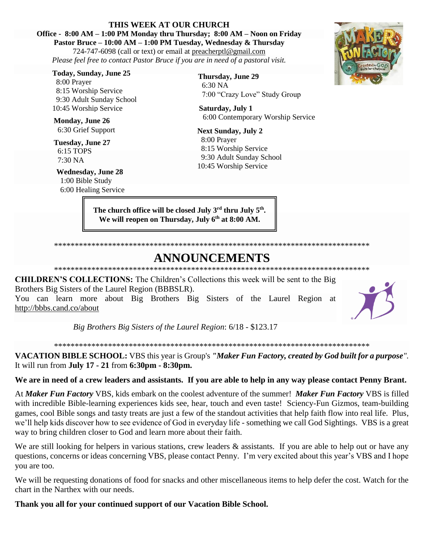## **THIS WEEK AT OUR CHURCH**

# **Office - 8:00 AM – 1:00 PM Monday thru Thursday; 8:00 AM – Noon on Friday**

**Pastor Bruce – 10:00 AM – 1:00 PM Tuesday, Wednesday & Thursday** 724-747-6098 (call or text) or email at [preacherptl@gmail.com](mailto:preacherptl@gmail.com) *Please feel free to contact Pastor Bruce if you are in need of a pastoral visit.*

**Today, Sunday, June 25**

 8:00 Prayer 8:15 Worship Service 9:30 Adult Sunday School 10:45 Worship Service

**Monday, June 26** 6:30 Grief Support

**Tuesday, June 27** 6:15 TOPS 7:30 NA

**Wednesday, June 28** 1:00 Bible Study 6:00 Healing Service **Thursday, June 29** 6:30 NA 7:00 "Crazy Love" Study Group

**Saturday, July 1** 6:00 Contemporary Worship Service

**Next Sunday, July 2** 8:00 Prayer 8:15 Worship Service 9:30 Adult Sunday School 10:45 Worship Service

**The church office will be closed July 3rd thru July 5th . We will reopen on Thursday, July 6th at 8:00 AM.**



## **ANNOUNCEMENTS** \*\*\*\*\*\*\*\*\*\*\*\*\*\*\*\*\*\*\*\*\*\*\*\*\*\*\*\*\*\*\*\*\*\*\*\*\*\*\*\*\*\*\*\*\*\*\*\*\*\*\*\*\*\*\*\*\*\*\*\*\*\*\*\*\*\*\*\*\*\*\*\*\*\*\*\*

**CHILDREN'S COLLECTIONS:** The Children's Collections this week will be sent to the Big Brothers Big Sisters of the Laurel Region (BBBSLR).

You can learn more about Big Brothers Big Sisters of the Laurel Region at http://bbbs.cand.co/about

*Big Brothers Big Sisters of the Laurel Region*: 6/18 - \$123.17

\*\*\*\*\*\*\*\*\*\*\*\*\*\*\*\*\*\*\*\*\*\*\*\*\*\*\*\*\*\*\*\*\*\*\*\*\*\*\*\*\*\*\*\*\*\*\*\*\*\*\*\*\*\*\*\*\*\*\*\*\*\*\*\*\*\*\*\*\*\*\*\*\*\*\*\*

**VACATION BIBLE SCHOOL:** VBS this year is Group's *"Maker Fun Factory, created by God built for a purpose".*  It will run from **July 17 - 21** from **6:30pm - 8:30pm.**

**We are in need of a crew leaders and assistants. If you are able to help in any way please contact Penny Brant.**

At *Maker Fun Factory* VBS, kids embark on the coolest adventure of the summer! *Maker Fun Factory* VBS is filled with incredible Bible-learning experiences kids see, hear, touch and even taste! Sciency-Fun Gizmos, team-building games, cool Bible songs and tasty treats are just a few of the standout activities that help faith flow into real life. Plus, we'll help kids discover how to see evidence of God in everyday life - something we call God Sightings. VBS is a great way to bring children closer to God and learn more about their faith.

We are still looking for helpers in various stations, crew leaders & assistants. If you are able to help out or have any questions, concerns or ideas concerning VBS, please contact Penny. I'm very excited about this year's VBS and I hope you are too.

We will be requesting donations of food for snacks and other miscellaneous items to help defer the cost. Watch for the chart in the Narthex with our needs.

**Thank you all for your continued support of our Vacation Bible School.**